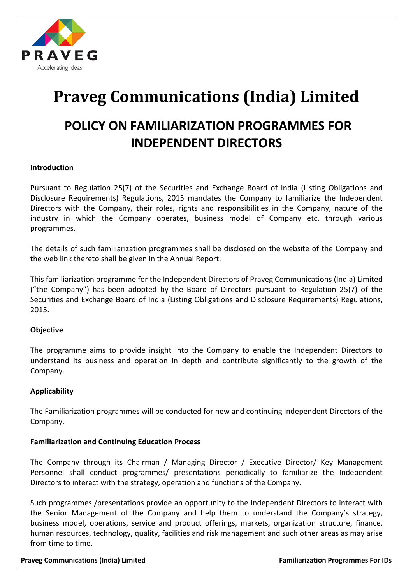

# **Praveg Communications (India) Limited**

# **POLICY ON FAMILIARIZATION PROGRAMMES FOR INDEPENDENT DIRECTORS**

# **Introduction**

Pursuant to Regulation 25(7) of the Securities and Exchange Board of India (Listing Obligations and Disclosure Requirements) Regulations, 2015 mandates the Company to familiarize the Independent Directors with the Company, their roles, rights and responsibilities in the Company, nature of the industry in which the Company operates, business model of Company etc. through various programmes.

The details of such familiarization programmes shall be disclosed on the website of the Company and the web link thereto shall be given in the Annual Report.

This familiarization programme for the Independent Directors of Praveg Communications (India) Limited ("the Company") has been adopted by the Board of Directors pursuant to Regulation 25(7) of the Securities and Exchange Board of India (Listing Obligations and Disclosure Requirements) Regulations, 2015.

#### **Objective**

The programme aims to provide insight into the Company to enable the Independent Directors to understand its business and operation in depth and contribute significantly to the growth of the Company.

# **Applicability**

The Familiarization programmes will be conducted for new and continuing Independent Directors of the Company.

#### **Familiarization and Continuing Education Process**

The Company through its Chairman / Managing Director / Executive Director/ Key Management Personnel shall conduct programmes/ presentations periodically to familiarize the Independent Directors to interact with the strategy, operation and functions of the Company.

Such programmes /presentations provide an opportunity to the Independent Directors to interact with the Senior Management of the Company and help them to understand the Company's strategy, business model, operations, service and product offerings, markets, organization structure, finance, human resources, technology, quality, facilities and risk management and such other areas as may arise from time to time.

#### **Praveg Communications (India) Limited Familiarization Programmes For IDs** Familiarization Programmes For IDs